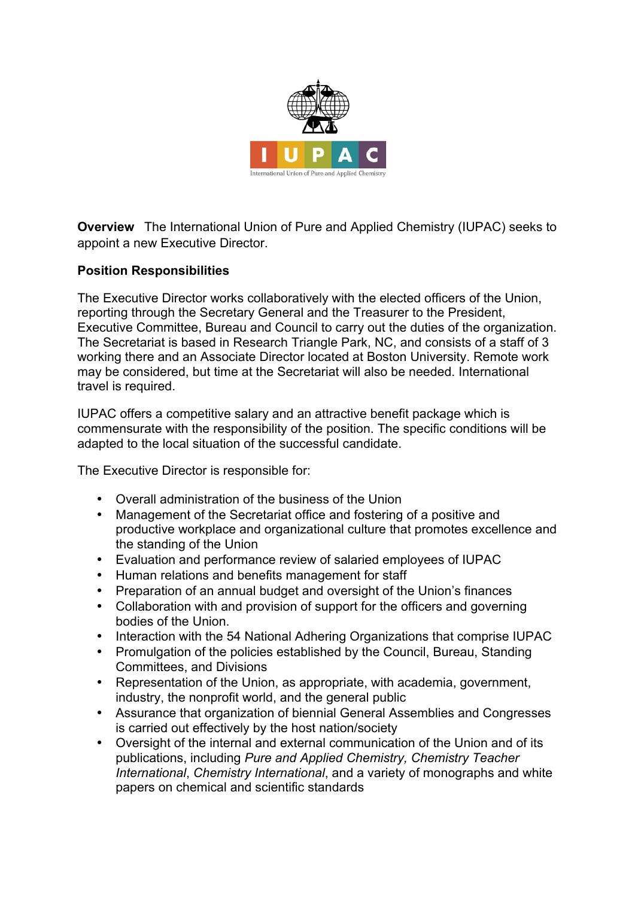

**Overview** The International Union of Pure and Applied Chemistry (IUPAC) seeks to appoint a new Executive Director.

## **Position Responsibilities**

The Executive Director works collaboratively with the elected officers of the Union, reporting through the Secretary General and the Treasurer to the President, Executive Committee, Bureau and Council to carry out the duties of the organization. The Secretariat is based in Research Triangle Park, NC, and consists of a staff of 3 working there and an Associate Director located at Boston University. Remote work may be considered, but time at the Secretariat will also be needed. International travel is required.

IUPAC offers a competitive salary and an attractive benefit package which is commensurate with the responsibility of the position. The specific conditions will be adapted to the local situation of the successful candidate.

The Executive Director is responsible for:

- Overall administration of the business of the Union
- Management of the Secretariat office and fostering of a positive and productive workplace and organizational culture that promotes excellence and the standing of the Union
- Evaluation and performance review of salaried employees of IUPAC
- Human relations and benefits management for staff
- Preparation of an annual budget and oversight of the Union's finances
- Collaboration with and provision of support for the officers and governing bodies of the Union.
- Interaction with the 54 National Adhering Organizations that comprise IUPAC
- Promulgation of the policies established by the Council, Bureau, Standing Committees, and Divisions
- Representation of the Union, as appropriate, with academia, government, industry, the nonprofit world, and the general public
- Assurance that organization of biennial General Assemblies and Congresses is carried out effectively by the host nation/society
- Oversight of the internal and external communication of the Union and of its publications, including *Pure and Applied Chemistry, Chemistry Teacher International*, *Chemistry International*, and a variety of monographs and white papers on chemical and scientific standards